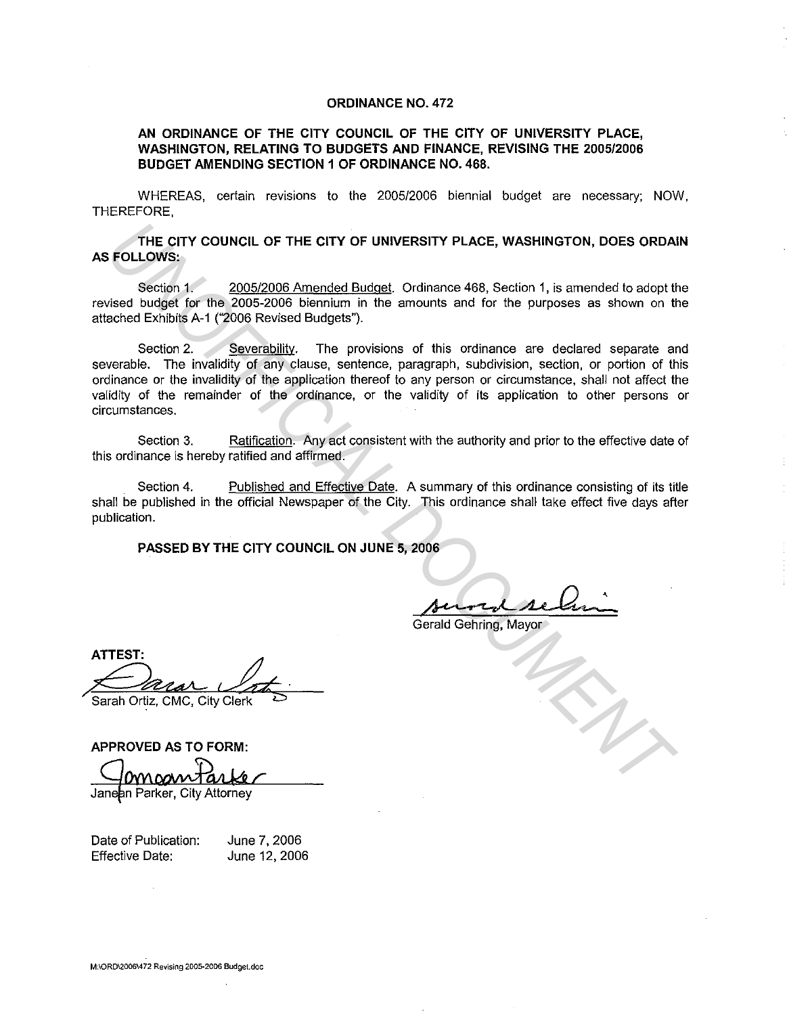## **ORDINANCE NO. 472**

## **AN ORDINANCE OF THE CITY COUNCIL OF THE CITY OF UNIVERSITY PLACE, WASHINGTON, RELATING TO BUDGETS AND FINANCE, REVISING THE 2005/2006 BUDGET AMENDING SECTION 1 OF ORDINANCE NO. 468.**

WHEREAS, certain revisions to the 2005/2006 biennial budget are necessary; NOW, THEREFORE,

**THE CITY COUNCIL OF THE CITY OF UNIVERSITY PLACE, WASHINGTON, DOES ORDAIN AS FOLLOWS:** 

Section 1. 2005/2006 Amended Budget. Ordinance 468, Section 1, is amended to adopt the revised budget for the 2005-2006 biennium in the amounts and for the purposes as shown on the attached Exhibits A-1 ("2006 Revised Budgets").

Section 2. Severability. The provisions of this ordinance are declared separate and severable. The invalidity of any clause, sentence, paragraph, subdivision, section, or portion of this ordinance or the invalidity of the application thereof to any person or circumstance, shall not affect the validity of the remainder of the ordinance, or the validity of its application to other persons or circumstances. THE CITY COUNCIL OF THE CITY OF UNIVERSITY PLACE, WASHINGTON, DOES ORDAL<br>
FOLLOWS:<br>
Section 1, 5005/2006 Amended Budget, Ordinance 468, Section 1, is amended to adopt the<br>
section 1. 5005/2006 Amended Budgets"). The provis

Section 3. Ratification. Any act consistent with the authority and prior to the effective date of this ordinance is hereby ratified and affirmed.

Section 4. Published and Effective Date. A summary of this ordinance consisting of its title shall be published in the official Newspaper of the City. This ordinance shall take effect five days after publication.

**PASSED BY THE CITY COUNCIL ON JUNE 5, 2006** 

106<br>Aurred selain

Gerald Gehring, Mayor

**ATTEST:** 

Sarah Ortiz, CMC, City Clerk

**APPROVED AS TO FORM:** 

Date of Publication:

Effective Date:

June 7, 2006 June 12, 2006

**M:\ORD\2006\472 Revising 2005-2006 Budget.doc**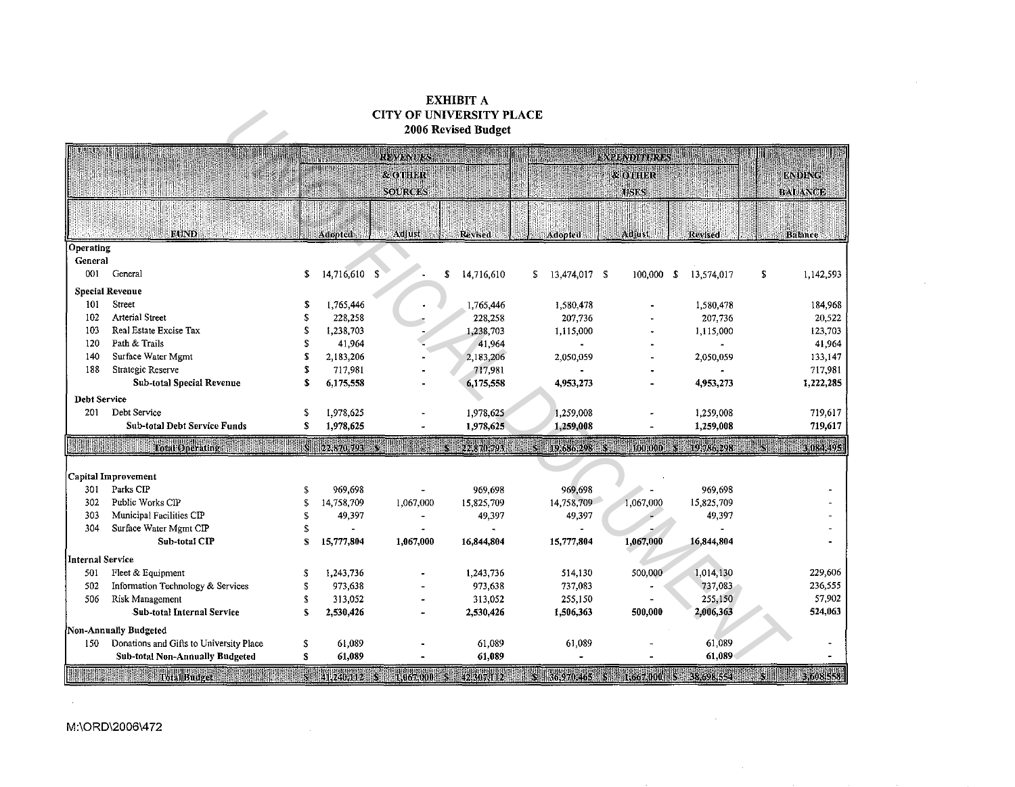## EXHIBIT A CITY OF UNIVERSITY PLACE 2006 Revised Budget

| <b>CITY OF UNIVERSITY PLACE</b><br>2006 Revised Budget |                                                                                                                                                                          |              |                |                            |                  |                       |                                  |                     |    |                                 |
|--------------------------------------------------------|--------------------------------------------------------------------------------------------------------------------------------------------------------------------------|--------------|----------------|----------------------------|------------------|-----------------------|----------------------------------|---------------------|----|---------------------------------|
|                                                        |                                                                                                                                                                          |              |                | <b>REVENUES</b>            |                  |                       | <b>EXPENDITURES</b>              |                     |    |                                 |
|                                                        |                                                                                                                                                                          |              |                | & OTHER<br><b>SOURCES!</b> |                  |                       | <b>&amp;OTHER</b><br><b>USES</b> | <b>THIULIHUSSES</b> |    | <b>ENDING</b><br><b>BALANCE</b> |
|                                                        |                                                                                                                                                                          |              |                |                            |                  |                       |                                  |                     |    |                                 |
|                                                        | <b>FUND</b>                                                                                                                                                              |              | Adopted        | Adjust                     | Revised          | Adopted               | <b>Adjust</b>                    | Revised             |    | <b>Balance</b>                  |
| Operating                                              |                                                                                                                                                                          |              |                |                            |                  |                       |                                  |                     |    |                                 |
| General                                                |                                                                                                                                                                          |              |                |                            |                  |                       |                                  |                     |    |                                 |
| 001                                                    | General                                                                                                                                                                  | \$           | 14,716,610 \$  |                            | \$<br>14,716,610 | 13.474,017 \$<br>\$   | 100,000                          | 13,574,017<br>- \$  | \$ | 1,142,593                       |
|                                                        | <b>Special Revenue</b>                                                                                                                                                   |              |                |                            |                  |                       |                                  |                     |    |                                 |
| 101                                                    | Street                                                                                                                                                                   | \$           | 1,765,446      |                            | 1,765,446        | 1,580,478             |                                  | 1,580,478           |    | 184,968                         |
| 102                                                    | <b>Arterial Street</b>                                                                                                                                                   | \$           | 228,258        |                            | 228,258          | 207,736               |                                  | 207,736             |    | 20,522                          |
| 103                                                    | Real Estate Excise Tax                                                                                                                                                   | \$           | 1,238,703      |                            | 1,238,703        | 1,115,000             |                                  | 1,115,000           |    | 123,703                         |
| 120                                                    | Path & Trails                                                                                                                                                            | S            | 41,964         |                            | 41,964           |                       |                                  |                     |    | 41,964                          |
| 140                                                    | Surface Water Mgmt                                                                                                                                                       | S            | 2,183,206      |                            | 2,183,206        | 2,050,059             |                                  | 2.050,059           |    | 133,147                         |
| 188                                                    | Strategic Reserve                                                                                                                                                        | \$           | 717,981        |                            | 717,981          |                       |                                  |                     |    | 717,981                         |
|                                                        | <b>Sub-total Special Revenue</b>                                                                                                                                         | S            | 6,175,558      |                            | 6,175,558        | 4,953,273             |                                  | 4,953,273           |    | 1,222,285                       |
| Debt Service                                           |                                                                                                                                                                          |              |                |                            |                  |                       |                                  |                     |    |                                 |
| 201                                                    | Debt Service                                                                                                                                                             | \$           | 1,978,625      |                            | 1,978,625        | 1,259,008             |                                  | 1,259,008           |    | 719,617                         |
|                                                        | Sub-total Debt Service Funds                                                                                                                                             | S            | 1,978,625      |                            | 1,978,625        | 1,259,008             |                                  | 1,259,008           |    | 719,617                         |
|                                                        | Total Operating                                                                                                                                                          | W            | 22,870,793     |                            | 22.870.793       | $S = 19,686,298$<br>K | 100.000                          | 19,786,298          |    | 3.084.495                       |
|                                                        | Capital Improvement                                                                                                                                                      |              |                |                            |                  |                       |                                  |                     |    |                                 |
| 301                                                    | Parks CIP                                                                                                                                                                | \$           | 969,698        | $\blacksquare$             | 969,698          | 969,698               |                                  | 969,698             |    |                                 |
| 302                                                    | Public Works CIP                                                                                                                                                         | \$           | 14,758,709     | 1,067,000                  | 15,825,709       | 14,758,709            | 1,067,000                        | 15,825,709          |    |                                 |
| 303                                                    | Municipal Facilities CIP                                                                                                                                                 | £.           | 49,397         | ÷                          | 49,397           | 49,397                |                                  | 49,397              |    |                                 |
| 304                                                    | Surface Water Mgmt CIP                                                                                                                                                   | \$           | $\blacksquare$ |                            |                  |                       |                                  |                     |    |                                 |
|                                                        | Sub-total CIP                                                                                                                                                            | $\mathbf{S}$ | 15,777,804     | 1,067,000                  | 16,844,804       | 15,777,804            | 1,067,000                        | 16,844,804          |    |                                 |
| Internal Service                                       |                                                                                                                                                                          |              |                |                            |                  |                       |                                  |                     |    |                                 |
| 501                                                    | Fleet & Equipment                                                                                                                                                        | £.           | 1,243,736      |                            | 1,243,736        | 514,130               | 500,000                          | 1,014,130           |    | 229,606                         |
| 502                                                    | Information Technology & Services                                                                                                                                        | S            | 973,638        |                            | 973,638          | 737,083               |                                  | 737,083             |    | 236,555                         |
| 506                                                    | Risk Management                                                                                                                                                          | S            | 313,052        |                            | 313,052          | 255,150               |                                  | 255,150             |    | 57,902                          |
|                                                        | Sub-total Internal Service                                                                                                                                               | S            | 2,530,426      |                            | 2,530,426        | 1,506,363             | 500,000                          | 2,006,363           |    | 524,063                         |
|                                                        | Non-Annually Budgeted                                                                                                                                                    |              |                |                            |                  |                       |                                  |                     |    |                                 |
| 150                                                    | Donations and Gifts to University Place                                                                                                                                  | \$           | 61,089         |                            | 61,089           | 61,089                |                                  | 61,089              |    |                                 |
|                                                        | <b>Sub-total Non-Annually Budgeted</b>                                                                                                                                   | \$           | 61,089         |                            | 61,089           |                       |                                  | 61,089              |    |                                 |
|                                                        | <b>SILLIAN 316081558</b><br><b>Maria Andrew Collaboration</b><br>5 41,240,112<br>$S = 42.307(112)$<br>S 36,970,465 S 1,667,000<br>38,698,554<br>1.067.000<br><b>IMIR</b> |              |                |                            |                  |                       |                                  |                     |    |                                 |

 $\sim$ 

 $\sim$ 

 $\sim 10^{-1}$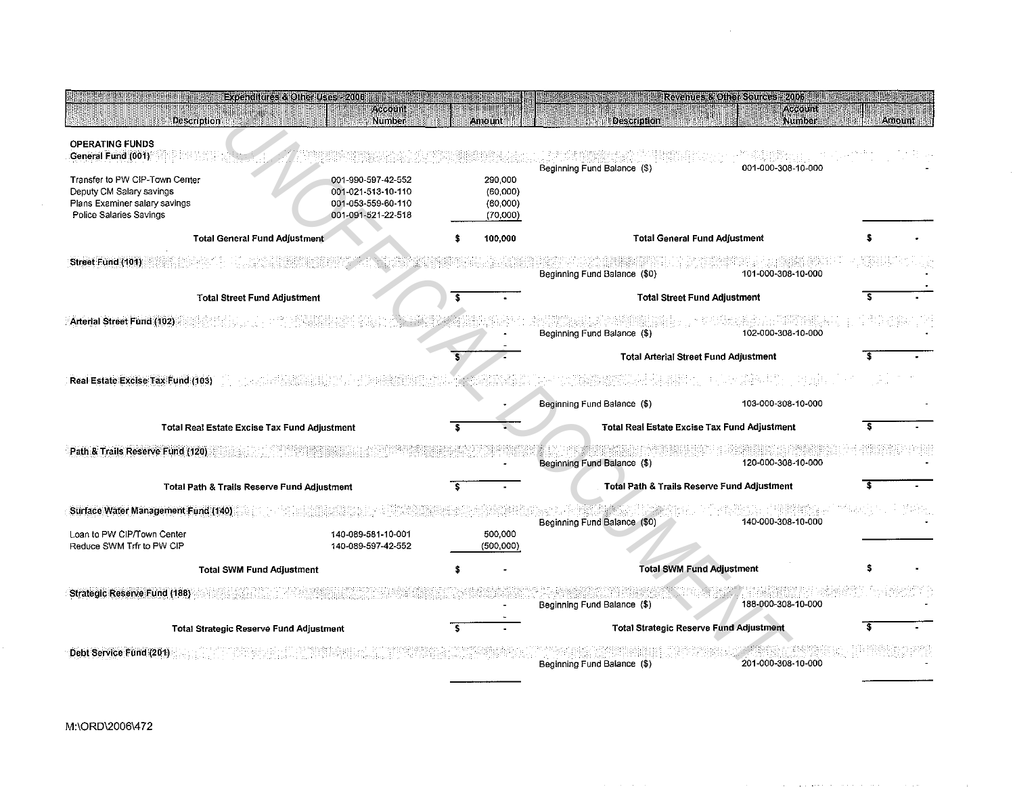| <b>Description</b>                                                                                                     | Experientines & Other Uses -2006 maintains<br>Account<br>Number                      | Amount                                      | Description                                         | Account<br>Number                                      | Amount |
|------------------------------------------------------------------------------------------------------------------------|--------------------------------------------------------------------------------------|---------------------------------------------|-----------------------------------------------------|--------------------------------------------------------|--------|
| <b>OPERATING FUNDS</b><br>General Fund (001)                                                                           |                                                                                      |                                             |                                                     | 001-000-308-10-000                                     |        |
| Transfer to PW CIP-Town Center<br>Deputy CM Salary savings<br>Plans Examiner salary savings<br>Police Salaries Savings | 001-990-597-42-552<br>001-021-513-10-110<br>001-053-559-60-110<br>001-091-521-22-518 | 290,000<br>(60,000)<br>(60,000)<br>(70,000) | Beginning Fund Balance (\$)                         |                                                        |        |
| <b>Total General Fund Adjustment</b>                                                                                   |                                                                                      | 100,000                                     |                                                     | <b>Total General Fund Adjustment</b>                   |        |
| Street Fund (101)                                                                                                      |                                                                                      |                                             | Beginning Fund Balance (\$0)                        | 101-000-308-10-000                                     |        |
| <b>Total Street Fund Adjustment</b>                                                                                    |                                                                                      |                                             |                                                     | <b>Total Street Fund Adjustment</b>                    |        |
| Arterial Street Fund (102)                                                                                             |                                                                                      |                                             | Beginning Fund Balance (\$)                         | 102-000-308-10-000                                     |        |
|                                                                                                                        |                                                                                      |                                             | <b>Total Arterial Street Fund Adjustment</b>        |                                                        |        |
| Real Estate Excise Tax Fund (103)                                                                                      |                                                                                      |                                             |                                                     |                                                        |        |
|                                                                                                                        |                                                                                      |                                             | Beginning Fund Balance (\$)                         | 103-000-308-10-000                                     |        |
| Total Real Estate Excise Tax Fund Adjustment                                                                           |                                                                                      |                                             | <b>Total Real Estate Excise Tax Fund Adjustment</b> |                                                        |        |
| Path & Trails Reserve Fund (120)                                                                                       |                                                                                      |                                             | Beginning Fund Balance (\$)                         | 120-000-308-10-000                                     |        |
| Total Path & Trails Reserve Fund Adjustment                                                                            |                                                                                      |                                             |                                                     | <b>Total Path &amp; Trails Reserve Fund Adjustment</b> |        |
| Surface Water Management Fund (140)                                                                                    |                                                                                      |                                             | Beginning Fund Balance (\$0)                        | 140-000-308-10-000                                     |        |
| Loan to PW CIP/Town Center<br>Reduce SWM Trfr to PW CIP                                                                | 140-089-581-10-001<br>140-089-597-42-552                                             | 500,000<br>(500,000)                        |                                                     |                                                        |        |
| <b>Total SWM Fund Adjustment</b>                                                                                       |                                                                                      | <b>Total SWM Fund Adjustment</b>            |                                                     |                                                        |        |
| <b>Strategic Reserve Fund (188)</b>                                                                                    |                                                                                      |                                             | Beginning Fund Balance (\$)                         | 188-000-308-10-000                                     |        |
| <b>Total Strategic Reserve Fund Adjustment</b>                                                                         |                                                                                      |                                             | <b>Total Strategic Reserve Fund Adjustment</b>      |                                                        |        |
| Debt Service Fund (201)                                                                                                |                                                                                      |                                             | Beginning Fund Balance (\$)                         | 201-000-308-10-000                                     |        |

----------

 $\sim 10^7$ 

...

 $\overline{\phantom{a}}$ 

 $\sim 10^{-1}$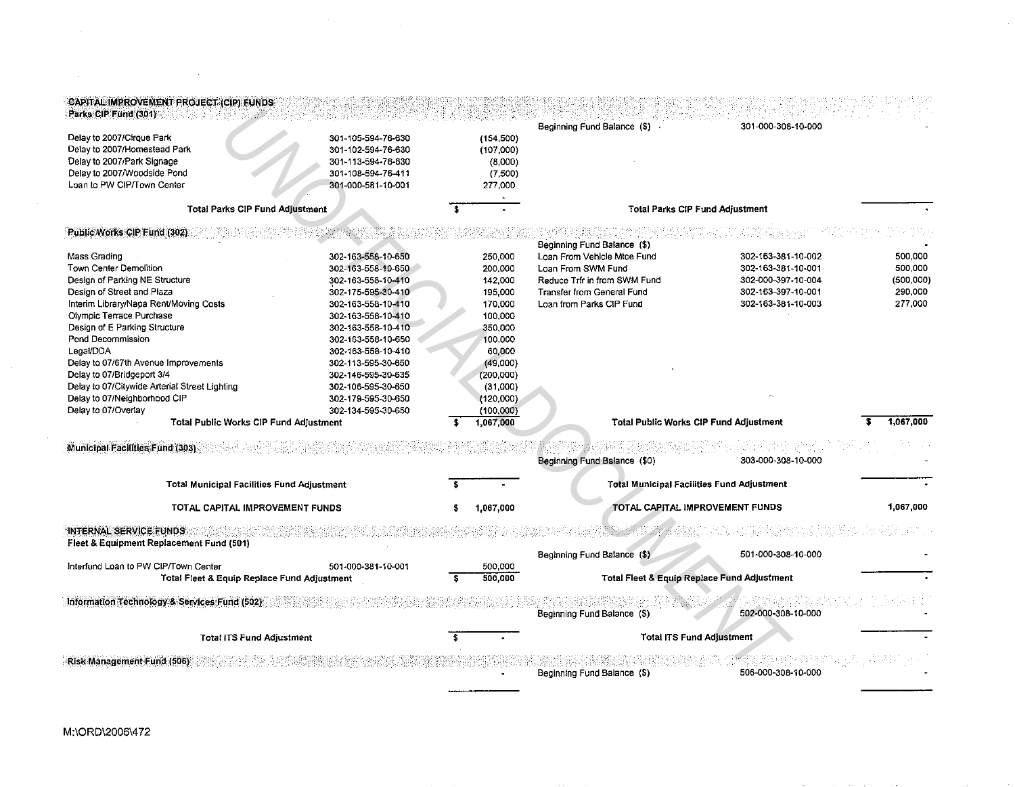| Delay to 2007/Cirque Park                                     | 301-105-594-76-630 |   | (154, 500)             | Beginning Fund Balance (\$) .                     | 301-000-308-10-000 |            |
|---------------------------------------------------------------|--------------------|---|------------------------|---------------------------------------------------|--------------------|------------|
| Delay to 2007/Homestead Park                                  | 301-102-594-76-630 |   | (107,000)              |                                                   |                    |            |
| Delay to 2007/Park Signage                                    | 301-113-594-76-630 |   | (8,000)                |                                                   |                    |            |
| Delay to 2007/Woodside Pond                                   | 301-108-594-76-411 |   | (7,500)                |                                                   |                    |            |
| Loan to PW CIP/Town Center                                    | 301-000-581-10-001 |   | 277,000                |                                                   |                    |            |
| <b>Total Parks CIP Fund Adjustment</b>                        |                    |   |                        | <b>Total Parks CIP Fund Adjustment</b>            |                    |            |
| Public Works CIP Fund (302)                                   |                    |   |                        | Beginning Fund Balance (\$)                       |                    |            |
| Mass Grading                                                  | 302-163-558-10-650 |   | 250,000                | Loan From Vehicle Mtce Fund                       | 302-163-381-10-002 | 500,000    |
| Town Center Demolition                                        | 302-163-558-10-650 |   | 200,000                | Loan From SWM Fund                                | 302-163-381-10-001 | 500,000    |
| Design of Parking NE Structure                                | 302-163-558-10-410 |   | 142,000                | Reduce Trfr in from SWM Fund                      | 302-000-397-10-004 | (500, 000) |
| Design of Street and Plaza                                    | 302-175-595-30-410 |   | 195,000                | Transfer from General Fund                        | 302-163-397-10-001 | 290,000    |
| Interim Library/Napa Rent/Moving Costs                        | 302-163-558-10-410 |   | 170,000                | Loan from Parks CIP Fund                          | 302-163-381-10-003 | 277,000    |
| Olympic Terrace Purchase                                      | 302-163-558-10-410 |   | 100,000                |                                                   |                    |            |
| Design of E Parking Structure                                 | 302-163-558-10-410 |   | 350,000                |                                                   |                    |            |
| Pond Decommission                                             | 302-163-558-10-650 |   | 100,000                |                                                   |                    |            |
| Legal/DDA                                                     | 302-163-558-10-410 |   | 60,000                 |                                                   |                    |            |
| Delay to 07/67th Avenue Improvements                          | 302-113-595-30-650 |   | (49,000)               |                                                   |                    |            |
| Delay to 07/Bridgeport 3/4                                    | 302-146-595-30-635 |   | (200,000)              |                                                   |                    |            |
| Delay to 07/Citywide Arterial Street Lighting                 | 302-106-595-30-650 |   | (31,000)               |                                                   |                    |            |
| Delay to 07/Neighborhood CIP                                  | 302-179-595-30-650 |   | (120,000)              |                                                   |                    |            |
| Delay to 07/Overlay<br>Total Public Works CIP Fund Adjustment | 302-134-595-30-650 |   | (100,000)<br>1.067.000 | <b>Total Public Works CIP Fund Adjustment</b>     |                    | 1.067.000  |
|                                                               |                    |   |                        |                                                   |                    |            |
| Municipal Facilities Fund (303)                               |                    |   |                        | Beginning Fund Balance (\$0)                      | 303-000-308-10-000 |            |
| <b>Total Municipal Facilities Fund Adjustment</b>             |                    |   |                        | <b>Total Municipal Facilities Fund Adjustment</b> |                    |            |
| TOTAL CAPITAL IMPROVEMENT FUNDS                               |                    | s | 1,067,000              | TOTAL CAPITAL IMPROVEMENT FUNDS                   |                    | 1,067,000  |
| <b>INTERNAL SERVICE FUNDS</b>                                 |                    |   |                        |                                                   |                    |            |
| Fleet & Equipment Replacement Fund (501)                      |                    |   |                        | Beginning Fund Balance (\$)                       | 501-000-308-10-000 |            |
| Interfund Loan to PW CIP/Town Center                          | 501-000-381-10-001 |   | 500,000                |                                                   |                    |            |
| Total Fleet & Equip Replace Fund Adjustment                   |                    |   | 500,000                | Total Fleet & Equip Replace Fund Adjustment       |                    |            |
| Information Technology & Services Fund (502)                  |                    |   |                        | Beginning Fund Balance (\$)                       | 502-000-308-10-000 |            |
|                                                               |                    |   |                        |                                                   |                    |            |

 $\label{eq:2.1} \frac{1}{\sqrt{2\pi}}\frac{1}{\sqrt{2\pi}}\frac{1}{\sqrt{2\pi}}\left(\frac{1}{\sqrt{2\pi}}\frac{1}{\sqrt{2\pi}}\right)^2\frac{1}{\sqrt{2\pi}}\frac{1}{\sqrt{2\pi}}\frac{1}{\sqrt{2\pi}}\frac{1}{\sqrt{2\pi}}\frac{1}{\sqrt{2\pi}}\frac{1}{\sqrt{2\pi}}\frac{1}{\sqrt{2\pi}}\frac{1}{\sqrt{2\pi}}\frac{1}{\sqrt{2\pi}}\frac{1}{\sqrt{2\pi}}\frac{1}{\sqrt{2\pi}}\frac{1}{\sqrt{2\pi}}\$ 

 $\sim 10^{-1}$ 

 $\label{eq:2.1} \frac{1}{\sqrt{2}}\int_{\mathbb{R}^3}\frac{1}{\sqrt{2}}\left(\frac{1}{\sqrt{2}}\right)^2\left(\frac{1}{\sqrt{2}}\right)^2\left(\frac{1}{\sqrt{2}}\right)^2\left(\frac{1}{\sqrt{2}}\right)^2\left(\frac{1}{\sqrt{2}}\right)^2\left(\frac{1}{\sqrt{2}}\right)^2\left(\frac{1}{\sqrt{2}}\right)^2.$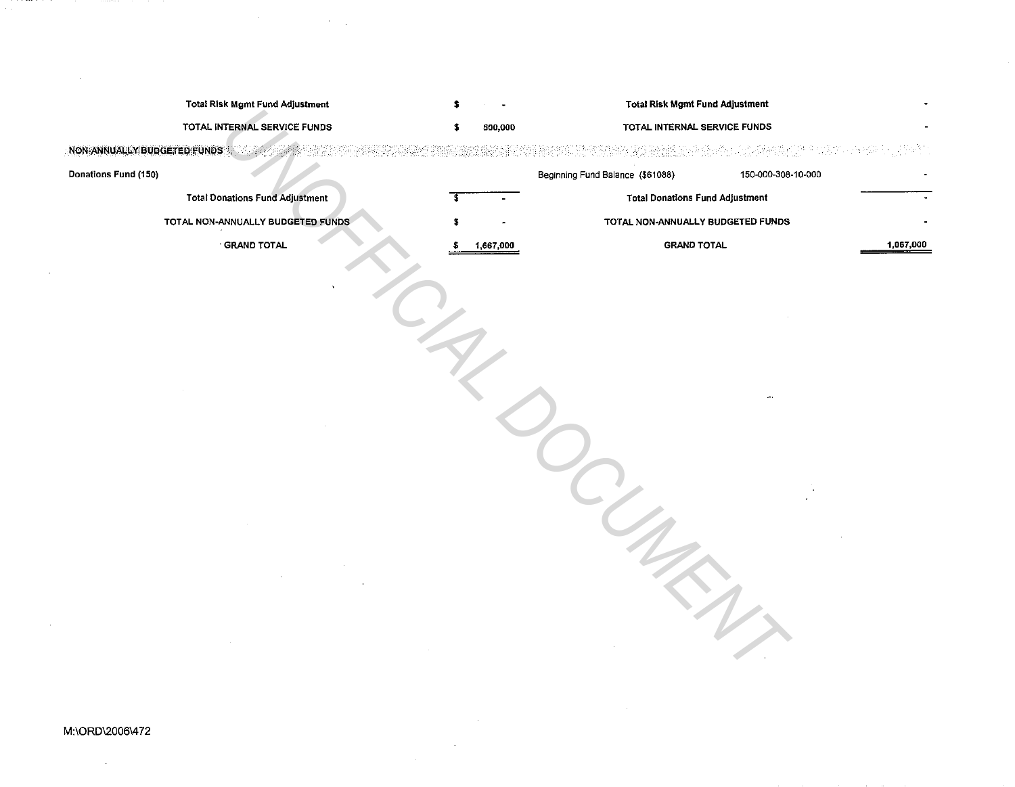| <b>Total Risk Mgmt Fund Adjustment</b> |                 | <b>Total Risk Mgmt Fund Adjustment</b>                 |           |
|----------------------------------------|-----------------|--------------------------------------------------------|-----------|
| TOTAL INTERNAL SERVICE FUNDS           | 500,000<br>\$   | TOTAL INTERNAL SERVICE FUNDS                           |           |
| <b>NON-ANNUALLY BUDGETED FUNDS</b>     |                 |                                                        |           |
| Donations Fund (150)                   |                 | Beginning Fund Balance (\$61088)<br>150-000-308-10-000 |           |
| <b>Total Donations Fund Adjustment</b> | s               | <b>Total Donations Fund Adjustment</b>                 |           |
| TOTAL NON-ANNUALLY BUDGETED FUNDS      |                 | TOTAL NON-ANNUALLY BUDGETED FUNDS                      |           |
| <b>GRAND TOTAL</b>                     | 1,667,000<br>-S | <b>GRAND TOTAL</b>                                     | 1,067,000 |
|                                        |                 |                                                        |           |
|                                        |                 |                                                        |           |
|                                        |                 |                                                        |           |
|                                        |                 |                                                        |           |
|                                        |                 |                                                        |           |
|                                        |                 |                                                        |           |
|                                        |                 |                                                        |           |
|                                        |                 |                                                        |           |
|                                        |                 |                                                        |           |
|                                        |                 |                                                        |           |
|                                        |                 |                                                        |           |
|                                        |                 |                                                        |           |
|                                        |                 |                                                        |           |
|                                        |                 |                                                        |           |
|                                        |                 |                                                        |           |
|                                        |                 |                                                        |           |
|                                        |                 |                                                        |           |
|                                        |                 |                                                        |           |
|                                        |                 |                                                        |           |
|                                        |                 |                                                        |           |
|                                        |                 |                                                        |           |

## M:\ORD\20061472

 $\label{eq:2} \frac{1}{2}\sum_{i=1}^n\frac{1}{2}\sum_{j=1}^n\frac{1}{2}\sum_{j=1}^n\frac{1}{2}\sum_{j=1}^n\frac{1}{2}\sum_{j=1}^n\frac{1}{2}\sum_{j=1}^n\frac{1}{2}\sum_{j=1}^n\frac{1}{2}\sum_{j=1}^n\frac{1}{2}\sum_{j=1}^n\frac{1}{2}\sum_{j=1}^n\frac{1}{2}\sum_{j=1}^n\frac{1}{2}\sum_{j=1}^n\frac{1}{2}\sum_{j=1}^n\frac{1}{2}\sum_{j=1}^n\frac{$  $\mathcal{L}^{\text{max}}_{\text{max}}$ 

 $\label{eq:2.1} \frac{1}{\sqrt{2}}\left(\frac{1}{\sqrt{2}}\right)^{2} \left(\frac{1}{\sqrt{2}}\right)^{2} \left(\frac{1}{\sqrt{2}}\right)^{2} \left(\frac{1}{\sqrt{2}}\right)^{2} \left(\frac{1}{\sqrt{2}}\right)^{2} \left(\frac{1}{\sqrt{2}}\right)^{2} \left(\frac{1}{\sqrt{2}}\right)^{2} \left(\frac{1}{\sqrt{2}}\right)^{2} \left(\frac{1}{\sqrt{2}}\right)^{2} \left(\frac{1}{\sqrt{2}}\right)^{2} \left(\frac{1}{\sqrt{2}}\right)^{2} \left(\$